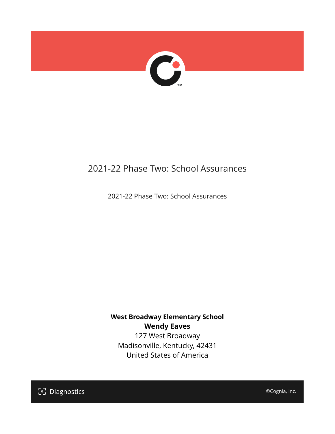

# 2021-22 Phase Two: School Assurances

2021-22 Phase Two: School Assurances

# **West Broadway Elementary School Wendy Eaves**

127 West Broadway Madisonville, Kentucky, 42431 United States of America

[၁] Diagnostics

©Cognia, Inc.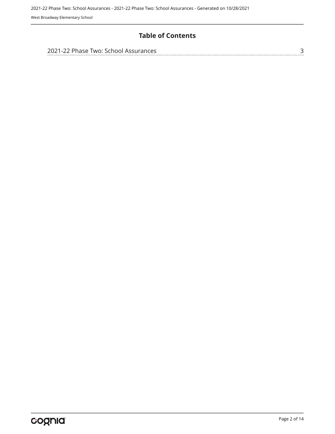West Broadway Elementary School

### **Table of Contents**

| 2021-22 Phase Two: School Assurances |  |
|--------------------------------------|--|
|                                      |  |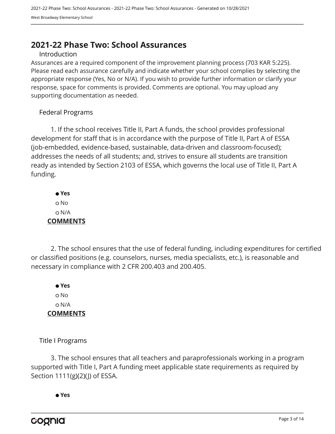# <span id="page-2-0"></span>**2021-22 Phase Two: School Assurances**

#### Introduction

Assurances are a required component of the improvement planning process (703 KAR 5:225). Please read each assurance carefully and indicate whether your school complies by selecting the appropriate response (Yes, No or N/A). If you wish to provide further information or clarify your response, space for comments is provided. Comments are optional. You may upload any supporting documentation as needed.

#### Federal Programs

1. If the school receives Title II, Part A funds, the school provides professional development for staff that is in accordance with the purpose of Title II, Part A of ESSA (job-embedded, evidence-based, sustainable, data-driven and classroom-focused); addresses the needs of all students; and, strives to ensure all students are transition ready as intended by Section 2103 of ESSA, which governs the local use of Title II, Part A funding.

 **Yes** o No N/A **COMMENTS**

2. The school ensures that the use of federal funding, including expenditures for certified or classified positions (e.g. counselors, nurses, media specialists, etc.), is reasonable and necessary in compliance with 2 CFR 200.403 and 200.405.

 **Yes** o No N/A **COMMENTS**

Title I Programs

3. The school ensures that all teachers and paraprofessionals working in a program supported with Title I, Part A funding meet applicable state requirements as required by Section 1111(g)(2)(J) of ESSA.

 **Yes**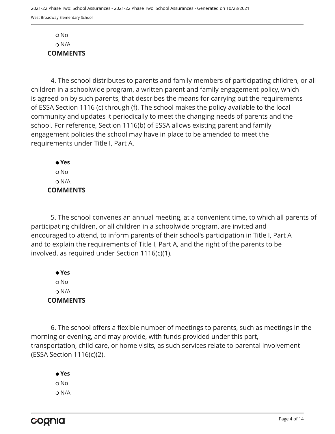No N/A **COMMENTS**

4. The school distributes to parents and family members of participating children, or all children in a schoolwide program, a written parent and family engagement policy, which is agreed on by such parents, that describes the means for carrying out the requirements of ESSA Section 1116 (c) through (f). The school makes the policy available to the local community and updates it periodically to meet the changing needs of parents and the school. For reference, Section 1116(b) of ESSA allows existing parent and family engagement policies the school may have in place to be amended to meet the requirements under Title I, Part A.

 **Yes** No N/A **COMMENTS**

5. The school convenes an annual meeting, at a convenient time, to which all parents of participating children, or all children in a schoolwide program, are invited and encouraged to attend, to inform parents of their school's participation in Title I, Part A and to explain the requirements of Title I, Part A, and the right of the parents to be involved, as required under Section 1116(c)(1).

 **Yes** o No N/A **COMMENTS**

6. The school offers a flexible number of meetings to parents, such as meetings in the morning or evening, and may provide, with funds provided under this part, transportation, child care, or home visits, as such services relate to parental involvement (ESSA Section 1116(c)(2).

 **Yes** o No N/A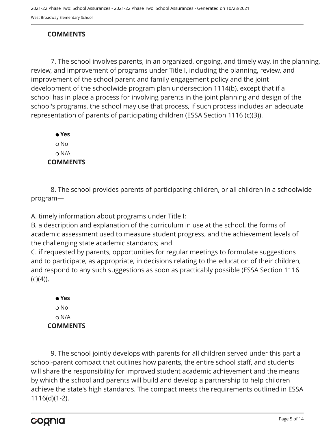## **COMMENTS**

7. The school involves parents, in an organized, ongoing, and timely way, in the planning, review, and improvement of programs under Title I, including the planning, review, and improvement of the school parent and family engagement policy and the joint development of the schoolwide program plan undersection 1114(b), except that if a school has in place a process for involving parents in the joint planning and design of the school's programs, the school may use that process, if such process includes an adequate representation of parents of participating children (ESSA Section 1116 (c)(3)).

 **Yes** No N/A **COMMENTS**

8. The school provides parents of participating children, or all children in a schoolwide program—

A. timely information about programs under Title I;

B. a description and explanation of the curriculum in use at the school, the forms of academic assessment used to measure student progress, and the achievement levels of the challenging state academic standards; and

C. if requested by parents, opportunities for regular meetings to formulate suggestions and to participate, as appropriate, in decisions relating to the education of their children, and respond to any such suggestions as soon as practicably possible (ESSA Section 1116  $(c)(4)$ ).

 **Yes** o No N/A **COMMENTS**

9. The school jointly develops with parents for all children served under this part a school-parent compact that outlines how parents, the entire school staff, and students will share the responsibility for improved student academic achievement and the means by which the school and parents will build and develop a partnership to help children achieve the state's high standards. The compact meets the requirements outlined in ESSA 1116(d)(1-2).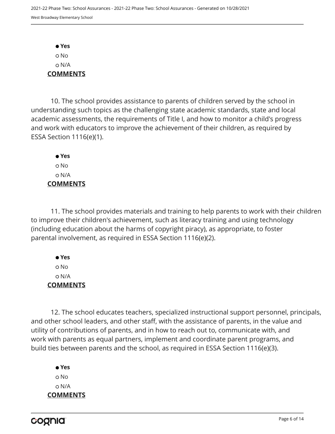**Yes** No N/A **COMMENTS**

10. The school provides assistance to parents of children served by the school in understanding such topics as the challenging state academic standards, state and local academic assessments, the requirements of Title I, and how to monitor a child's progress and work with educators to improve the achievement of their children, as required by ESSA Section 1116(e)(1).

 **Yes** o No N/A **COMMENTS**

11. The school provides materials and training to help parents to work with their children to improve their children's achievement, such as literacy training and using technology (including education about the harms of copyright piracy), as appropriate, to foster parental involvement, as required in ESSA Section 1116(e)(2).

 **Yes** No N/A **COMMENTS**

12. The school educates teachers, specialized instructional support personnel, principals, and other school leaders, and other staff, with the assistance of parents, in the value and utility of contributions of parents, and in how to reach out to, communicate with, and work with parents as equal partners, implement and coordinate parent programs, and build ties between parents and the school, as required in ESSA Section 1116(e)(3).

 **Yes** o No N/A **COMMENTS**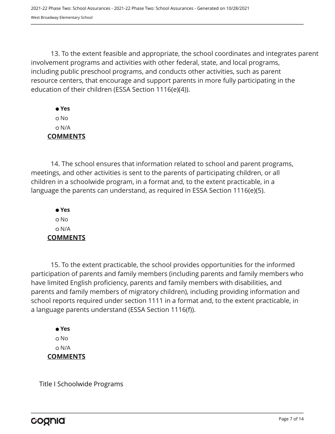13. To the extent feasible and appropriate, the school coordinates and integrates parent involvement programs and activities with other federal, state, and local programs, including public preschool programs, and conducts other activities, such as parent resource centers, that encourage and support parents in more fully participating in the education of their children (ESSA Section 1116(e)(4)).

 **Yes** No N/A **COMMENTS**

14. The school ensures that information related to school and parent programs, meetings, and other activities is sent to the parents of participating children, or all children in a schoolwide program, in a format and, to the extent practicable, in a language the parents can understand, as required in ESSA Section 1116(e)(5).

 **Yes** o No N/A **COMMENTS**

15. To the extent practicable, the school provides opportunities for the informed participation of parents and family members (including parents and family members who have limited English proficiency, parents and family members with disabilities, and parents and family members of migratory children), including providing information and school reports required under section 1111 in a format and, to the extent practicable, in a language parents understand (ESSA Section 1116(f)).

 **Yes** o No N/A **COMMENTS**

Title I Schoolwide Programs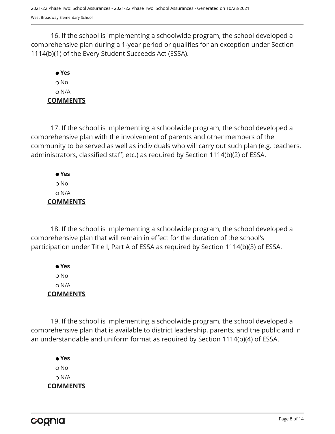16. If the school is implementing a schoolwide program, the school developed a comprehensive plan during a 1-year period or qualifies for an exception under Section 1114(b)(1) of the Every Student Succeeds Act (ESSA).

## **Yes** No N/A **COMMENTS**

17. If the school is implementing a schoolwide program, the school developed a comprehensive plan with the involvement of parents and other members of the community to be served as well as individuals who will carry out such plan (e.g. teachers, administrators, classified staff, etc.) as required by Section 1114(b)(2) of ESSA.

 **Yes** No N/A **COMMENTS**

18. If the school is implementing a schoolwide program, the school developed a comprehensive plan that will remain in effect for the duration of the school's participation under Title I, Part A of ESSA as required by Section 1114(b)(3) of ESSA.

 **Yes** No N/A **COMMENTS**

19. If the school is implementing a schoolwide program, the school developed a comprehensive plan that is available to district leadership, parents, and the public and in an understandable and uniform format as required by Section 1114(b)(4) of ESSA.

 **Yes** o No N/A **COMMENTS**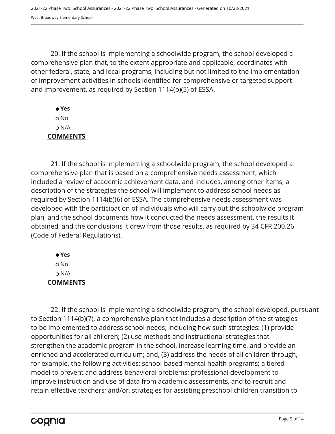20. If the school is implementing a schoolwide program, the school developed a comprehensive plan that, to the extent appropriate and applicable, coordinates with other federal, state, and local programs, including but not limited to the implementation of improvement activities in schools identified for comprehensive or targeted support and improvement, as required by Section 1114(b)(5) of ESSA.

 **Yes** No N/A **COMMENTS**

21. If the school is implementing a schoolwide program, the school developed a comprehensive plan that is based on a comprehensive needs assessment, which included a review of academic achievement data, and includes, among other items, a description of the strategies the school will implement to address school needs as required by Section 1114(b)(6) of ESSA. The comprehensive needs assessment was developed with the participation of individuals who will carry out the schoolwide program plan, and the school documents how it conducted the needs assessment, the results it obtained, and the conclusions it drew from those results, as required by 34 CFR 200.26 (Code of Federal Regulations).

 **Yes** No N/A **COMMENTS**

22. If the school is implementing a schoolwide program, the school developed, pursuant to Section 1114(b)(7), a comprehensive plan that includes a description of the strategies to be implemented to address school needs, including how such strategies: (1) provide opportunities for all children; (2) use methods and instructional strategies that strengthen the academic program in the school, increase learning time, and provide an enriched and accelerated curriculum; and, (3) address the needs of all children through, for example, the following activities: school-based mental health programs; a tiered model to prevent and address behavioral problems; professional development to improve instruction and use of data from academic assessments, and to recruit and retain effective teachers; and/or, strategies for assisting preschool children transition to

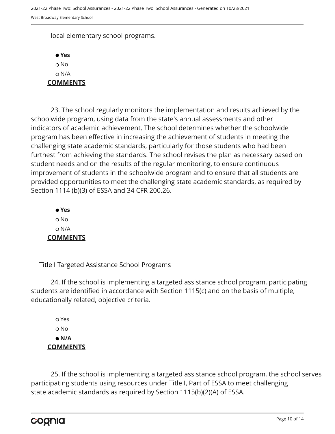local elementary school programs.



23. The school regularly monitors the implementation and results achieved by the schoolwide program, using data from the state's annual assessments and other indicators of academic achievement. The school determines whether the schoolwide program has been effective in increasing the achievement of students in meeting the challenging state academic standards, particularly for those students who had been furthest from achieving the standards. The school revises the plan as necessary based on student needs and on the results of the regular monitoring, to ensure continuous improvement of students in the schoolwide program and to ensure that all students are provided opportunities to meet the challenging state academic standards, as required by Section 1114 (b)(3) of ESSA and 34 CFR 200.26.

 **Yes** o No N/A **COMMENTS**

Title I Targeted Assistance School Programs

24. If the school is implementing a targeted assistance school program, participating students are identified in accordance with Section 1115(c) and on the basis of multiple, educationally related, objective criteria.

 Yes o No  **N/A COMMENTS**

25. If the school is implementing a targeted assistance school program, the school serves participating students using resources under Title I, Part of ESSA to meet challenging state academic standards as required by Section 1115(b)(2)(A) of ESSA.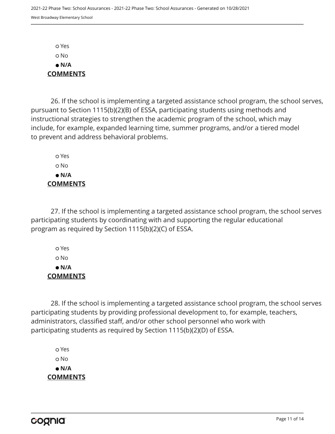Yes No  **N/A COMMENTS**

26. If the school is implementing a targeted assistance school program, the school serves, pursuant to Section 1115(b)(2)(B) of ESSA, participating students using methods and instructional strategies to strengthen the academic program of the school, which may include, for example, expanded learning time, summer programs, and/or a tiered model to prevent and address behavioral problems.

 Yes o No  **N/A COMMENTS**

27. If the school is implementing a targeted assistance school program, the school serves participating students by coordinating with and supporting the regular educational program as required by Section 1115(b)(2)(C) of ESSA.

 Yes No  **N/A COMMENTS**

28. If the school is implementing a targeted assistance school program, the school serves participating students by providing professional development to, for example, teachers, administrators, classified staff, and/or other school personnel who work with participating students as required by Section 1115(b)(2)(D) of ESSA.

 Yes o No  **N/A COMMENTS**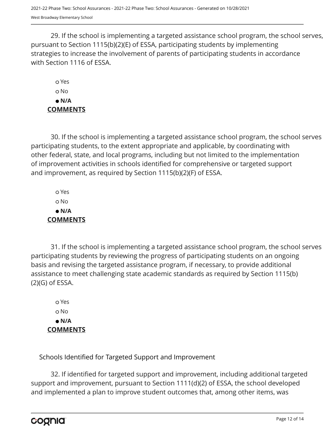29. If the school is implementing a targeted assistance school program, the school serves, pursuant to Section 1115(b)(2)(E) of ESSA, participating students by implementing strategies to increase the involvement of parents of participating students in accordance with Section 1116 of ESSA.

 Yes o No  **N/A COMMENTS**

30. If the school is implementing a targeted assistance school program, the school serves participating students, to the extent appropriate and applicable, by coordinating with other federal, state, and local programs, including but not limited to the implementation of improvement activities in schools identified for comprehensive or targeted support and improvement, as required by Section 1115(b)(2)(F) of ESSA.

 Yes No  **N/A COMMENTS**

31. If the school is implementing a targeted assistance school program, the school serves participating students by reviewing the progress of participating students on an ongoing basis and revising the targeted assistance program, if necessary, to provide additional assistance to meet challenging state academic standards as required by Section 1115(b) (2)(G) of ESSA.

 Yes No  **N/A COMMENTS**

Schools Identified for Targeted Support and Improvement

32. If identified for targeted support and improvement, including additional targeted support and improvement, pursuant to Section 1111(d)(2) of ESSA, the school developed and implemented a plan to improve student outcomes that, among other items, was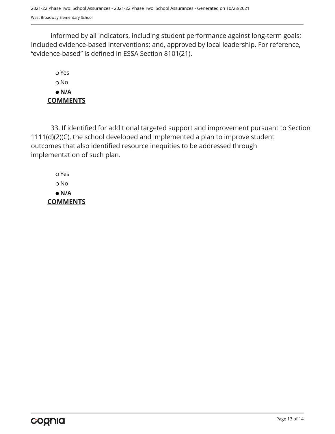informed by all indicators, including student performance against long-term goals; included evidence-based interventions; and, approved by local leadership. For reference, "evidence-based" is defined in ESSA Section 8101(21).

 Yes o No  **N/A COMMENTS**

33. If identified for additional targeted support and improvement pursuant to Section 1111(d)(2)(C), the school developed and implemented a plan to improve student outcomes that also identified resource inequities to be addressed through implementation of such plan.

 Yes No  **N/A COMMENTS**